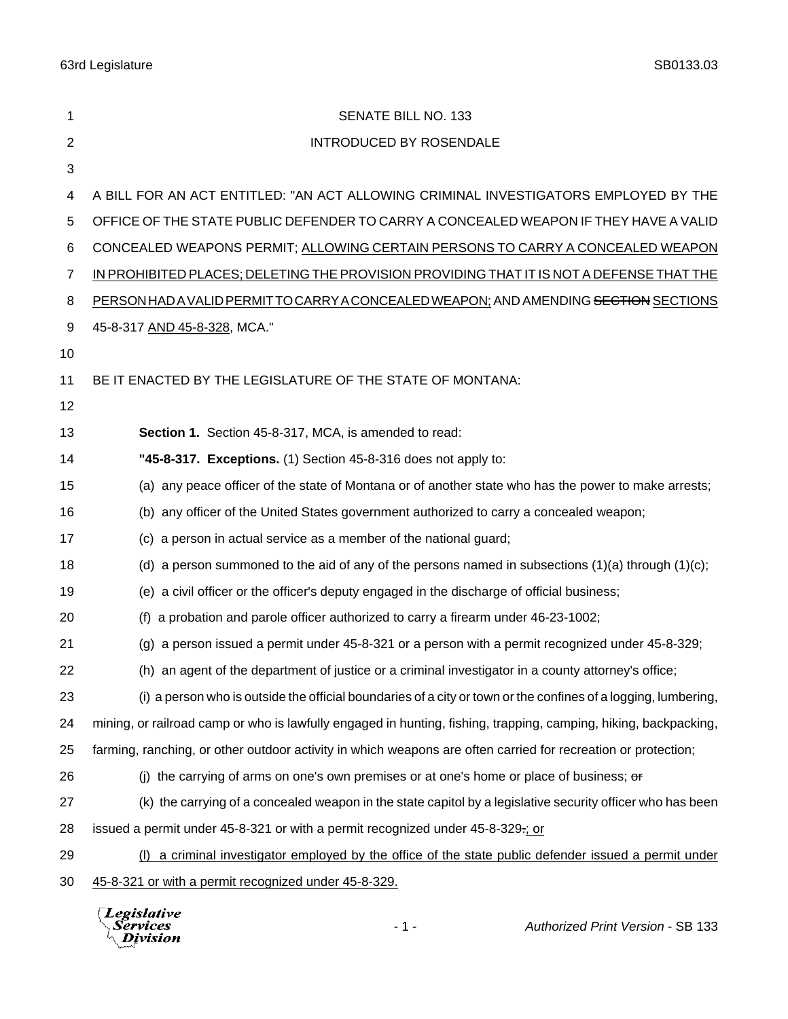63rd Legislature SB0133.03

| 1              | SENATE BILL NO. 133                                                                                              |
|----------------|------------------------------------------------------------------------------------------------------------------|
| $\overline{2}$ | <b>INTRODUCED BY ROSENDALE</b>                                                                                   |
| 3              |                                                                                                                  |
| 4              | A BILL FOR AN ACT ENTITLED: "AN ACT ALLOWING CRIMINAL INVESTIGATORS EMPLOYED BY THE                              |
| 5              | OFFICE OF THE STATE PUBLIC DEFENDER TO CARRY A CONCEALED WEAPON IF THEY HAVE A VALID                             |
| 6              | CONCEALED WEAPONS PERMIT; ALLOWING CERTAIN PERSONS TO CARRY A CONCEALED WEAPON                                   |
| 7              | IN PROHIBITED PLACES; DELETING THE PROVISION PROVIDING THAT IT IS NOT A DEFENSE THAT THE                         |
| 8              | PERSON HAD A VALID PERMITTO CARRY A CONCEALED WEAPON; AND AMENDING SECTION SECTIONS                              |
| 9              | 45-8-317 AND 45-8-328, MCA."                                                                                     |
| 10             |                                                                                                                  |
| 11             | BE IT ENACTED BY THE LEGISLATURE OF THE STATE OF MONTANA:                                                        |
| 12             |                                                                                                                  |
| 13             | Section 1. Section 45-8-317, MCA, is amended to read:                                                            |
| 14             | "45-8-317. Exceptions. (1) Section 45-8-316 does not apply to:                                                   |
| 15             | (a) any peace officer of the state of Montana or of another state who has the power to make arrests;             |
| 16             | (b) any officer of the United States government authorized to carry a concealed weapon;                          |
| 17             | a person in actual service as a member of the national guard;<br>(C)                                             |
| 18             | (d) a person summoned to the aid of any of the persons named in subsections $(1)(a)$ through $(1)(c)$ ;          |
| 19             | (e) a civil officer or the officer's deputy engaged in the discharge of official business;                       |
| 20             | a probation and parole officer authorized to carry a firearm under 46-23-1002;<br>(1)                            |
| 21             | $(g)$ a person issued a permit under 45-8-321 or a person with a permit recognized under 45-8-329;               |
| 22             | (h) an agent of the department of justice or a criminal investigator in a county attorney's office;              |
| 23             | (i) a person who is outside the official boundaries of a city or town or the confines of a logging, lumbering,   |
| 24             | mining, or railroad camp or who is lawfully engaged in hunting, fishing, trapping, camping, hiking, backpacking, |
| 25             | farming, ranching, or other outdoor activity in which weapons are often carried for recreation or protection;    |
| 26             | (i) the carrying of arms on one's own premises or at one's home or place of business; $\sigma$                   |
| 27             | (k) the carrying of a concealed weapon in the state capitol by a legislative security officer who has been       |
| 28             | issued a permit under 45-8-321 or with a permit recognized under 45-8-329-; or                                   |
| 29             | (I) a criminal investigator employed by the office of the state public defender issued a permit under            |
| 30             | 45-8-321 or with a permit recognized under 45-8-329.                                                             |
|                |                                                                                                                  |